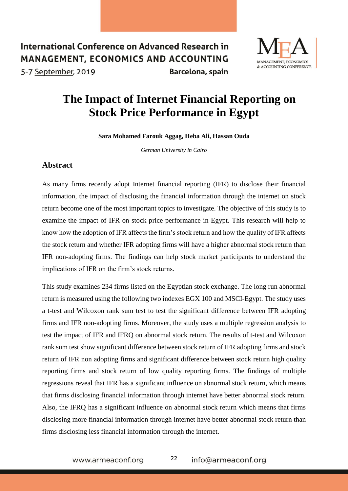## International Conference on Advanced Research in **MANAGEMENT, ECONOMICS AND ACCOUNTING** Barcelona, spain



5-7 September, 2019

## **The Impact of Internet Financial Reporting on Stock Price Performance in Egypt**

**Sara Mohamed Farouk Aggag, Heba Ali, Hassan Ouda** 

*German University in Cairo* 

## **Abstract**

As many firms recently adopt Internet financial reporting (IFR) to disclose their financial information, the impact of disclosing the financial information through the internet on stock return become one of the most important topics to investigate. The objective of this study is to examine the impact of IFR on stock price performance in Egypt. This research will help to know how the adoption of IFR affects the firm's stock return and how the quality of IFR affects the stock return and whether IFR adopting firms will have a higher abnormal stock return than IFR non-adopting firms. The findings can help stock market participants to understand the implications of IFR on the firm's stock returns.

This study examines 234 firms listed on the Egyptian stock exchange. The long run abnormal return is measured using the following two indexes EGX 100 and MSCI-Egypt. The study uses a t-test and Wilcoxon rank sum test to test the significant difference between IFR adopting firms and IFR non-adopting firms. Moreover, the study uses a multiple regression analysis to test the impact of IFR and IFRQ on abnormal stock return. The results of t-test and Wilcoxon rank sum test show significant difference between stock return of IFR adopting firms and stock return of IFR non adopting firms and significant difference between stock return high quality reporting firms and stock return of low quality reporting firms. The findings of multiple regressions reveal that IFR has a significant influence on abnormal stock return, which means that firms disclosing financial information through internet have better abnormal stock return. Also, the IFRQ has a significant influence on abnormal stock return which means that firms disclosing more financial information through internet have better abnormal stock return than firms disclosing less financial information through the internet.